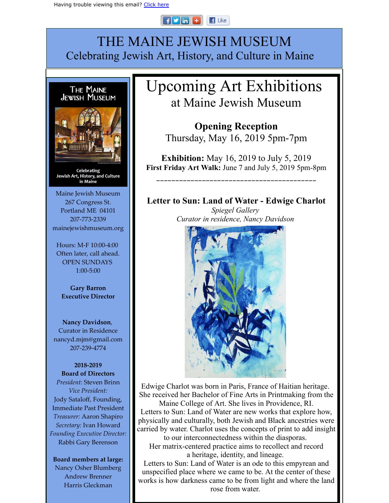#### $\mathbf{F}$   $\mathbf{v}$  in  $\mathbf{F}$  $\blacksquare$  Like

## THE MAINE JEWISH MUSEUM Celebrating Jewish Art, History, and Culture in Maine



Celebrating Jewish Art, History, and Culture in Maine

Maine Jewish Museum 267 Congress St. Portland ME 04101 207-773-2339 mainejewishmuseum.org

Hours: M-F 10:00-4:00 Often later, call ahead. OPEN SUNDAYS 1:00-5:00

**Gary Barron Executive Director**

**Nancy Davidson**, Curator in Residence nancyd.mjm@gmail.com 207-239-4774

**2018-2019 Board of Directors** *President:* Steven Brinn *Vice President:* Jody Sataloff, Founding, Immediate Past President *Treasurer:* Aaron Shapiro *Secretary:* Ivan Howard *Founding Executive Director:* Rabbi Gary Berenson

**Board members at large:**

Nancy Osher Blumberg Andrew Brenner Harris Gleckman

# Upcoming Art Exhibitions at Maine Jewish Museum

**Opening Reception** Thursday, May 16, 2019 5pm-7pm

**Exhibition:** May 16, 2019 to July 5, 2019 **First Friday Art Walk:** June 7 and July 5, 2019 5pm-8pm

\_\_\_\_\_\_\_\_\_\_\_\_\_\_\_\_\_\_\_\_\_\_\_\_\_\_\_\_\_\_\_\_\_\_\_\_\_\_\_\_\_\_

### **Letter to Sun: Land of Water - Edwige Charlot**

*Spiegel Gallery Curator in residence, Nancy Davidson* 



Edwige Charlot was born in Paris, France of Haitian heritage. She received her Bachelor of Fine Arts in Printmaking from the

Maine College of Art. She lives in Providence, RI. Letters to Sun: Land of Water are new works that explore how, physically and culturally, both Jewish and Black ancestries were carried by water. Charlot uses the concepts of print to add insight to our interconnectedness within the diasporas.

Her matrix-centered practice aims to recollect and record a heritage, identity, and lineage.

Letters to Sun: Land of Water is an ode to this empyrean and unspecified place where we came to be. At the center of these works is how darkness came to be from light and where the land rose from water.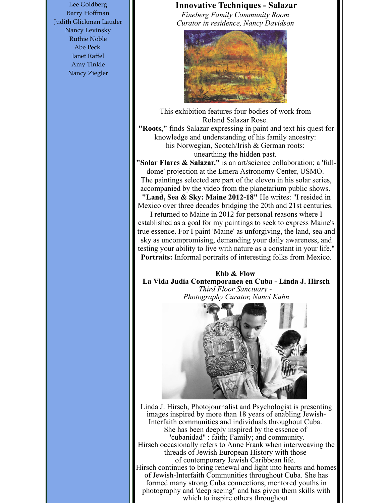Lee Goldberg Barry Hoffman Judith Glickman Lauder Nancy Levinsky Ruthie Noble Abe Peck Janet Raffel Amy Tinkle Nancy Ziegler

### **Innovative Techniques - Salazar**

*Fineberg Family Community Room Curator in residence, Nancy Davidson* 



This exhibition features four bodies of work from Roland Salazar Rose.

**"Roots,"** finds Salazar expressing in paint and text his quest for knowledge and understanding of his family ancestry: his Norwegian, Scotch/Irish & German roots: unearthing the hidden past.

**"Solar Flares & Salazar,"** is an art/science collaboration; a 'fulldome' projection at the Emera Astronomy Center, USMO. The paintings selected are part of the eleven in his solar series, accompanied by the video from the planetarium public shows. **"Land, Sea & Sky: Maine 2012-18"** He writes: "I resided in

Mexico over three decades bridging the 20th and 21st centuries.

I returned to Maine in 2012 for personal reasons where I established as a goal for my paintings to seek to express Maine's true essence. For I paint 'Maine' as unforgiving, the land, sea and sky as uncompromising, demanding your daily awareness, and testing your ability to live with nature as a constant in your life." **Portraits:** Informal portraits of interesting folks from Mexico.

**Ebb & Flow La Vida Judia Contemporanea en Cuba - Linda J. Hirsch** *Third Floor Sanctuary - Photography Curator, Nanci Kahn*



Linda J. Hirsch, Photojournalist and Psychologist is presenting images inspired by more than 18 years of enabling Jewish-Interfaith communities and individuals throughout Cuba. She has been deeply inspired by the essence of "cubanidad" : faith; Family; and community. Hirsch occasionally refers to Anne Frank when interweaving the threads of Jewish European History with those of contemporary Jewish Caribbean life. Hirsch continues to bring renewal and light into hearts and homes of Jewish-Interfaith Communities throughout Cuba. She has formed many strong Cuba connections, mentored youths in photography and 'deep seeing" and has given them skills with which to inspire others throughout